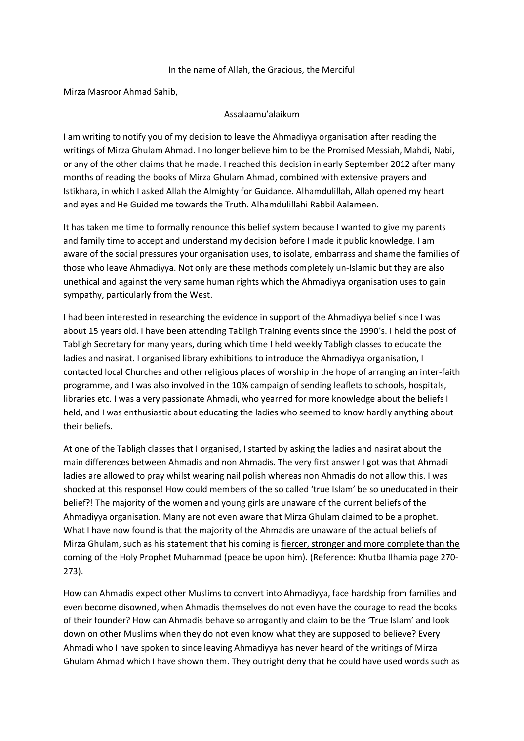## In the name of Allah, the Gracious, the Merciful

Mirza Masroor Ahmad Sahib,

## Assalaamu'alaikum

I am writing to notify you of my decision to leave the Ahmadiyya organisation after reading the writings of Mirza Ghulam Ahmad. I no longer believe him to be the Promised Messiah, Mahdi, Nabi, or any of the other claims that he made. I reached this decision in early September 2012 after many months of reading the books of Mirza Ghulam Ahmad, combined with extensive prayers and Istikhara, in which I asked Allah the Almighty for Guidance. Alhamdulillah, Allah opened my heart and eyes and He Guided me towards the Truth. Alhamdulillahi Rabbil Aalameen.

It has taken me time to formally renounce this belief system because I wanted to give my parents and family time to accept and understand my decision before I made it public knowledge. I am aware of the social pressures your organisation uses, to isolate, embarrass and shame the families of those who leave Ahmadiyya. Not only are these methods completely un-Islamic but they are also unethical and against the very same human rights which the Ahmadiyya organisation uses to gain sympathy, particularly from the West.

I had been interested in researching the evidence in support of the Ahmadiyya belief since I was about 15 years old. I have been attending Tabligh Training events since the 1990's. I held the post of Tabligh Secretary for many years, during which time I held weekly Tabligh classes to educate the ladies and nasirat. I organised library exhibitions to introduce the Ahmadiyya organisation, I contacted local Churches and other religious places of worship in the hope of arranging an inter-faith programme, and I was also involved in the 10% campaign of sending leaflets to schools, hospitals, libraries etc. I was a very passionate Ahmadi, who yearned for more knowledge about the beliefs I held, and I was enthusiastic about educating the ladies who seemed to know hardly anything about their beliefs.

At one of the Tabligh classes that I organised, I started by asking the ladies and nasirat about the main differences between Ahmadis and non Ahmadis. The very first answer I got was that Ahmadi ladies are allowed to pray whilst wearing nail polish whereas non Ahmadis do not allow this. I was shocked at this response! How could members of the so called 'true Islam' be so uneducated in their belief?! The majority of the women and young girls are unaware of the current beliefs of the Ahmadiyya organisation. Many are not even aware that Mirza Ghulam claimed to be a prophet. What I have now found is that the majority of the Ahmadis are unaware of the actual beliefs of Mirza Ghulam, such as his statement that his coming is fiercer, stronger and more complete than the coming of the Holy Prophet Muhammad (peace be upon him). (Reference: Khutba Ilhamia page 270- 273).

How can Ahmadis expect other Muslims to convert into Ahmadiyya, face hardship from families and even become disowned, when Ahmadis themselves do not even have the courage to read the books of their founder? How can Ahmadis behave so arrogantly and claim to be the 'True Islam' and look down on other Muslims when they do not even know what they are supposed to believe? Every Ahmadi who I have spoken to since leaving Ahmadiyya has never heard of the writings of Mirza Ghulam Ahmad which I have shown them. They outright deny that he could have used words such as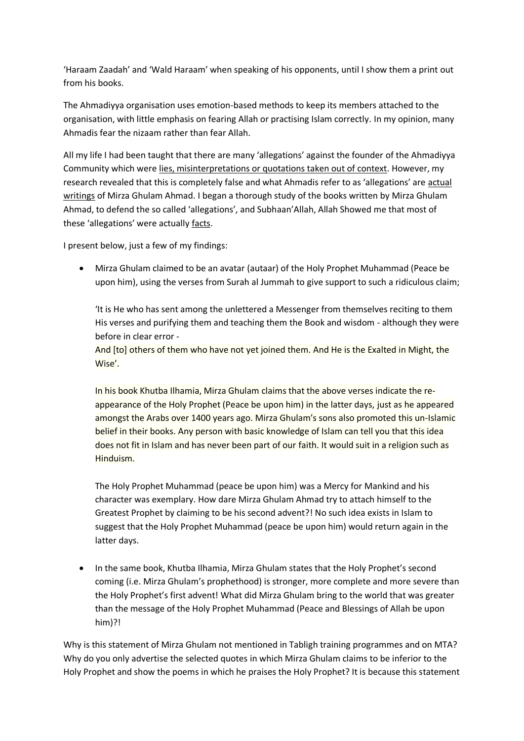'Haraam Zaadah' and 'Wald Haraam' when speaking of his opponents, until I show them a print out from his books.

The Ahmadiyya organisation uses emotion-based methods to keep its members attached to the organisation, with little emphasis on fearing Allah or practising Islam correctly. In my opinion, many Ahmadis fear the nizaam rather than fear Allah.

All my life I had been taught that there are many 'allegations' against the founder of the Ahmadiyya Community which were lies, misinterpretations or quotations taken out of context. However, my research revealed that this is completely false and what Ahmadis refer to as 'allegations' are actual writings of Mirza Ghulam Ahmad. I began a thorough study of the books written by Mirza Ghulam Ahmad, to defend the so called 'allegations', and Subhaan'Allah, Allah Showed me that most of these 'allegations' were actually facts.

I present below, just a few of my findings:

 Mirza Ghulam claimed to be an avatar (autaar) of the Holy Prophet Muhammad (Peace be upon him), using the verses from Surah al Jummah to give support to such a ridiculous claim;

'It is He who has sent among the unlettered a Messenger from themselves reciting to them His verses and purifying them and teaching them the Book and wisdom - although they were before in clear error -

And [to] others of them who have not yet joined them. And He is the Exalted in Might, the Wise'.

In his book Khutba Ilhamia, Mirza Ghulam claims that the above verses indicate the reappearance of the Holy Prophet (Peace be upon him) in the latter days, just as he appeared amongst the Arabs over 1400 years ago. Mirza Ghulam's sons also promoted this un-Islamic belief in their books. Any person with basic knowledge of Islam can tell you that this idea does not fit in Islam and has never been part of our faith. It would suit in a religion such as Hinduism.

The Holy Prophet Muhammad (peace be upon him) was a Mercy for Mankind and his character was exemplary. How dare Mirza Ghulam Ahmad try to attach himself to the Greatest Prophet by claiming to be his second advent?! No such idea exists in Islam to suggest that the Holy Prophet Muhammad (peace be upon him) would return again in the latter days.

• In the same book, Khutba Ilhamia, Mirza Ghulam states that the Holy Prophet's second coming (i.e. Mirza Ghulam's prophethood) is stronger, more complete and more severe than the Holy Prophet's first advent! What did Mirza Ghulam bring to the world that was greater than the message of the Holy Prophet Muhammad (Peace and Blessings of Allah be upon him)?!

Why is this statement of Mirza Ghulam not mentioned in Tabligh training programmes and on MTA? Why do you only advertise the selected quotes in which Mirza Ghulam claims to be inferior to the Holy Prophet and show the poems in which he praises the Holy Prophet? It is because this statement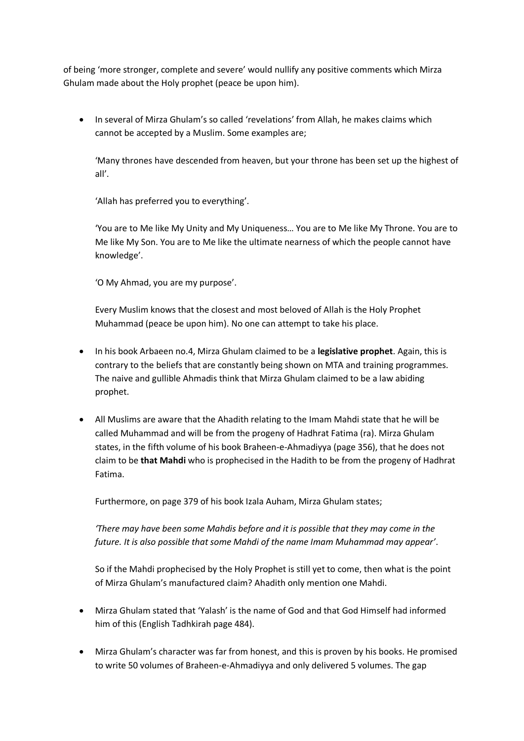of being 'more stronger, complete and severe' would nullify any positive comments which Mirza Ghulam made about the Holy prophet (peace be upon him).

• In several of Mirza Ghulam's so called 'revelations' from Allah, he makes claims which cannot be accepted by a Muslim. Some examples are;

'Many thrones have descended from heaven, but your throne has been set up the highest of all'.

'Allah has preferred you to everything'.

'You are to Me like My Unity and My Uniqueness… You are to Me like My Throne. You are to Me like My Son. You are to Me like the ultimate nearness of which the people cannot have knowledge'.

'O My Ahmad, you are my purpose'.

Every Muslim knows that the closest and most beloved of Allah is the Holy Prophet Muhammad (peace be upon him). No one can attempt to take his place.

- In his book Arbaeen no.4, Mirza Ghulam claimed to be a **legislative prophet**. Again, this is contrary to the beliefs that are constantly being shown on MTA and training programmes. The naive and gullible Ahmadis think that Mirza Ghulam claimed to be a law abiding prophet.
- All Muslims are aware that the Ahadith relating to the Imam Mahdi state that he will be called Muhammad and will be from the progeny of Hadhrat Fatima (ra). Mirza Ghulam states, in the fifth volume of his book Braheen-e-Ahmadiyya (page 356), that he does not claim to be **that Mahdi** who is prophecised in the Hadith to be from the progeny of Hadhrat Fatima.

Furthermore, on page 379 of his book Izala Auham, Mirza Ghulam states;

*'There may have been some Mahdis before and it is possible that they may come in the future. It is also possible that some Mahdi of the name Imam Muhammad may appear'*.

So if the Mahdi prophecised by the Holy Prophet is still yet to come, then what is the point of Mirza Ghulam's manufactured claim? Ahadith only mention one Mahdi.

- Mirza Ghulam stated that 'Yalash' is the name of God and that God Himself had informed him of this (English Tadhkirah page 484).
- Mirza Ghulam's character was far from honest, and this is proven by his books. He promised to write 50 volumes of Braheen-e-Ahmadiyya and only delivered 5 volumes. The gap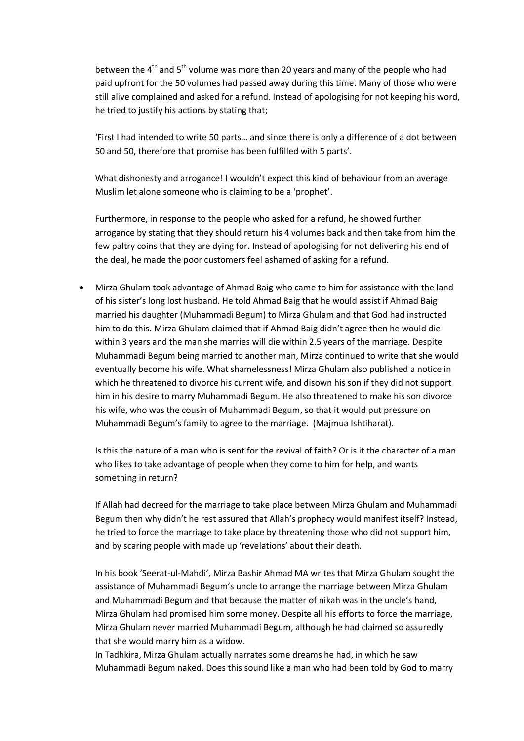between the  $4<sup>th</sup>$  and  $5<sup>th</sup>$  volume was more than 20 years and many of the people who had paid upfront for the 50 volumes had passed away during this time. Many of those who were still alive complained and asked for a refund. Instead of apologising for not keeping his word, he tried to justify his actions by stating that;

'First I had intended to write 50 parts… and since there is only a difference of a dot between 50 and 50, therefore that promise has been fulfilled with 5 parts'.

What dishonesty and arrogance! I wouldn't expect this kind of behaviour from an average Muslim let alone someone who is claiming to be a 'prophet'.

Furthermore, in response to the people who asked for a refund, he showed further arrogance by stating that they should return his 4 volumes back and then take from him the few paltry coins that they are dying for. Instead of apologising for not delivering his end of the deal, he made the poor customers feel ashamed of asking for a refund.

 Mirza Ghulam took advantage of Ahmad Baig who came to him for assistance with the land of his sister's long lost husband. He told Ahmad Baig that he would assist if Ahmad Baig married his daughter (Muhammadi Begum) to Mirza Ghulam and that God had instructed him to do this. Mirza Ghulam claimed that if Ahmad Baig didn't agree then he would die within 3 years and the man she marries will die within 2.5 years of the marriage. Despite Muhammadi Begum being married to another man, Mirza continued to write that she would eventually become his wife. What shamelessness! Mirza Ghulam also published a notice in which he threatened to divorce his current wife, and disown his son if they did not support him in his desire to marry Muhammadi Begum. He also threatened to make his son divorce his wife, who was the cousin of Muhammadi Begum, so that it would put pressure on Muhammadi Begum's family to agree to the marriage. (Majmua Ishtiharat).

Is this the nature of a man who is sent for the revival of faith? Or is it the character of a man who likes to take advantage of people when they come to him for help, and wants something in return?

If Allah had decreed for the marriage to take place between Mirza Ghulam and Muhammadi Begum then why didn't he rest assured that Allah's prophecy would manifest itself? Instead, he tried to force the marriage to take place by threatening those who did not support him, and by scaring people with made up 'revelations' about their death.

In his book 'Seerat-ul-Mahdi', Mirza Bashir Ahmad MA writes that Mirza Ghulam sought the assistance of Muhammadi Begum's uncle to arrange the marriage between Mirza Ghulam and Muhammadi Begum and that because the matter of nikah was in the uncle's hand, Mirza Ghulam had promised him some money. Despite all his efforts to force the marriage, Mirza Ghulam never married Muhammadi Begum, although he had claimed so assuredly that she would marry him as a widow.

In Tadhkira, Mirza Ghulam actually narrates some dreams he had, in which he saw Muhammadi Begum naked. Does this sound like a man who had been told by God to marry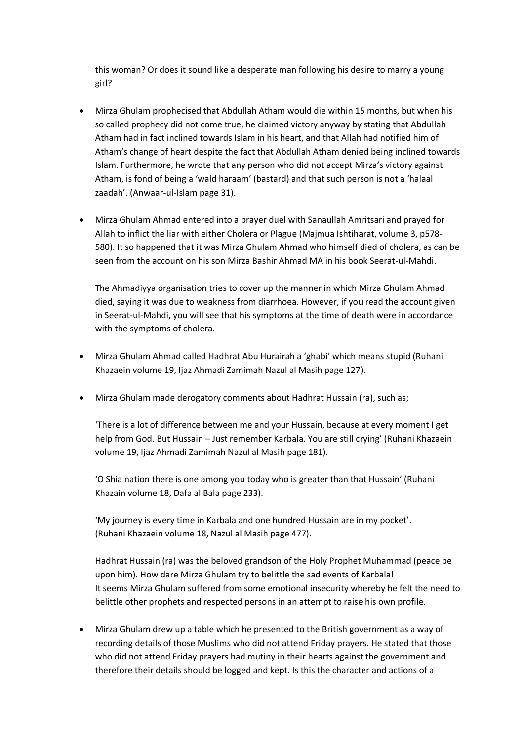this woman? Or does it sound like a desperate man following his desire to marry a young girl?

- Mirza Ghulam prophecised that Abdullah Atham would die within 15 months, but when his so called prophecy did not come true, he claimed victory anyway by stating that Abdullah Atham had in fact inclined towards Islam in his heart, and that Allah had notified him of Atham's change of heart despite the fact that Abdullah Atham denied being inclined towards Islam. Furthermore, he wrote that any person who did not accept Mirza's victory against Atham, is fond of being a 'wald haraam' (bastard) and that such person is not a 'halaal zaadah'. (Anwaar-ul-Islam page 31).
- Mirza Ghulam Ahmad entered into a prayer duel with Sanaullah Amritsari and prayed for Allah to inflict the liar with either Cholera or Plague (Majmua Ishtiharat, volume 3, p578- 580). It so happened that it was Mirza Ghulam Ahmad who himself died of cholera, as can be seen from the account on his son Mirza Bashir Ahmad MA in his book Seerat-ul-Mahdi.

The Ahmadiyya organisation tries to cover up the manner in which Mirza Ghulam Ahmad died, saying it was due to weakness from diarrhoea. However, if you read the account given in Seerat-ul-Mahdi, you will see that his symptoms at the time of death were in accordance with the symptoms of cholera.

- Mirza Ghulam Ahmad called Hadhrat Abu Hurairah a 'ghabi' which means stupid (Ruhani Khazaein volume 19, Ijaz Ahmadi Zamimah Nazul al Masih page 127).
- Mirza Ghulam made derogatory comments about Hadhrat Hussain (ra), such as;

'There is a lot of difference between me and your Hussain, because at every moment I get help from God. But Hussain – Just remember Karbala. You are still crying' (Ruhani Khazaein volume 19, Ijaz Ahmadi Zamimah Nazul al Masih page 181).

'O Shia nation there is one among you today who is greater than that Hussain' (Ruhani Khazain volume 18, Dafa al Bala page 233).

'My journey is every time in Karbala and one hundred Hussain are in my pocket'. (Ruhani Khazaein volume 18, Nazul al Masih page 477).

Hadhrat Hussain (ra) was the beloved grandson of the Holy Prophet Muhammad (peace be upon him). How dare Mirza Ghulam try to belittle the sad events of Karbala! It seems Mirza Ghulam suffered from some emotional insecurity whereby he felt the need to belittle other prophets and respected persons in an attempt to raise his own profile.

 Mirza Ghulam drew up a table which he presented to the British government as a way of recording details of those Muslims who did not attend Friday prayers. He stated that those who did not attend Friday prayers had mutiny in their hearts against the government and therefore their details should be logged and kept. Is this the character and actions of a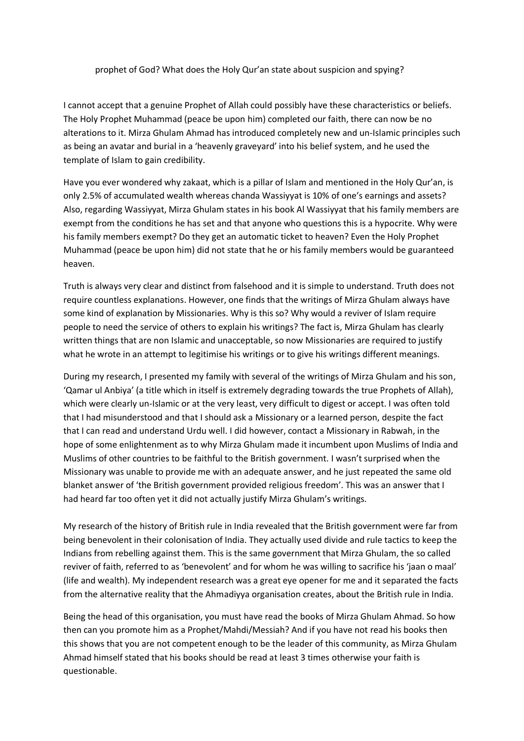prophet of God? What does the Holy Qur'an state about suspicion and spying?

I cannot accept that a genuine Prophet of Allah could possibly have these characteristics or beliefs. The Holy Prophet Muhammad (peace be upon him) completed our faith, there can now be no alterations to it. Mirza Ghulam Ahmad has introduced completely new and un-Islamic principles such as being an avatar and burial in a 'heavenly graveyard' into his belief system, and he used the template of Islam to gain credibility.

Have you ever wondered why zakaat, which is a pillar of Islam and mentioned in the Holy Qur'an, is only 2.5% of accumulated wealth whereas chanda Wassiyyat is 10% of one's earnings and assets? Also, regarding Wassiyyat, Mirza Ghulam states in his book Al Wassiyyat that his family members are exempt from the conditions he has set and that anyone who questions this is a hypocrite. Why were his family members exempt? Do they get an automatic ticket to heaven? Even the Holy Prophet Muhammad (peace be upon him) did not state that he or his family members would be guaranteed heaven.

Truth is always very clear and distinct from falsehood and it is simple to understand. Truth does not require countless explanations. However, one finds that the writings of Mirza Ghulam always have some kind of explanation by Missionaries. Why is this so? Why would a reviver of Islam require people to need the service of others to explain his writings? The fact is, Mirza Ghulam has clearly written things that are non Islamic and unacceptable, so now Missionaries are required to justify what he wrote in an attempt to legitimise his writings or to give his writings different meanings.

During my research, I presented my family with several of the writings of Mirza Ghulam and his son, 'Qamar ul Anbiya' (a title which in itself is extremely degrading towards the true Prophets of Allah), which were clearly un-Islamic or at the very least, very difficult to digest or accept. I was often told that I had misunderstood and that I should ask a Missionary or a learned person, despite the fact that I can read and understand Urdu well. I did however, contact a Missionary in Rabwah, in the hope of some enlightenment as to why Mirza Ghulam made it incumbent upon Muslims of India and Muslims of other countries to be faithful to the British government. I wasn't surprised when the Missionary was unable to provide me with an adequate answer, and he just repeated the same old blanket answer of 'the British government provided religious freedom'. This was an answer that I had heard far too often yet it did not actually justify Mirza Ghulam's writings.

My research of the history of British rule in India revealed that the British government were far from being benevolent in their colonisation of India. They actually used divide and rule tactics to keep the Indians from rebelling against them. This is the same government that Mirza Ghulam, the so called reviver of faith, referred to as 'benevolent' and for whom he was willing to sacrifice his 'jaan o maal' (life and wealth). My independent research was a great eye opener for me and it separated the facts from the alternative reality that the Ahmadiyya organisation creates, about the British rule in India.

Being the head of this organisation, you must have read the books of Mirza Ghulam Ahmad. So how then can you promote him as a Prophet/Mahdi/Messiah? And if you have not read his books then this shows that you are not competent enough to be the leader of this community, as Mirza Ghulam Ahmad himself stated that his books should be read at least 3 times otherwise your faith is questionable.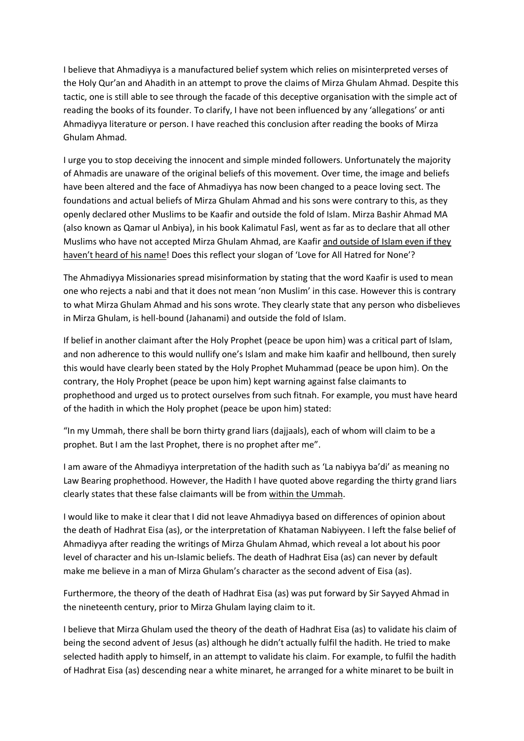I believe that Ahmadiyya is a manufactured belief system which relies on misinterpreted verses of the Holy Qur'an and Ahadith in an attempt to prove the claims of Mirza Ghulam Ahmad. Despite this tactic, one is still able to see through the facade of this deceptive organisation with the simple act of reading the books of its founder. To clarify, I have not been influenced by any 'allegations' or anti Ahmadiyya literature or person. I have reached this conclusion after reading the books of Mirza Ghulam Ahmad.

I urge you to stop deceiving the innocent and simple minded followers. Unfortunately the majority of Ahmadis are unaware of the original beliefs of this movement. Over time, the image and beliefs have been altered and the face of Ahmadiyya has now been changed to a peace loving sect. The foundations and actual beliefs of Mirza Ghulam Ahmad and his sons were contrary to this, as they openly declared other Muslims to be Kaafir and outside the fold of Islam. Mirza Bashir Ahmad MA (also known as Qamar ul Anbiya), in his book Kalimatul Fasl, went as far as to declare that all other Muslims who have not accepted Mirza Ghulam Ahmad, are Kaafir and outside of Islam even if they haven't heard of his name! Does this reflect your slogan of 'Love for All Hatred for None'?

The Ahmadiyya Missionaries spread misinformation by stating that the word Kaafir is used to mean one who rejects a nabi and that it does not mean 'non Muslim' in this case. However this is contrary to what Mirza Ghulam Ahmad and his sons wrote. They clearly state that any person who disbelieves in Mirza Ghulam, is hell-bound (Jahanami) and outside the fold of Islam.

If belief in another claimant after the Holy Prophet (peace be upon him) was a critical part of Islam, and non adherence to this would nullify one's Islam and make him kaafir and hellbound, then surely this would have clearly been stated by the Holy Prophet Muhammad (peace be upon him). On the contrary, the Holy Prophet (peace be upon him) kept warning against false claimants to prophethood and urged us to protect ourselves from such fitnah. For example, you must have heard of the hadith in which the Holy prophet (peace be upon him) stated:

"In my Ummah, there shall be born thirty grand liars (dajjaals), each of whom will claim to be a prophet. But I am the last Prophet, there is no prophet after me".

I am aware of the Ahmadiyya interpretation of the hadith such as 'La nabiyya ba'di' as meaning no Law Bearing prophethood. However, the Hadith I have quoted above regarding the thirty grand liars clearly states that these false claimants will be from within the Ummah.

I would like to make it clear that I did not leave Ahmadiyya based on differences of opinion about the death of Hadhrat Eisa (as), or the interpretation of Khataman Nabiyyeen. I left the false belief of Ahmadiyya after reading the writings of Mirza Ghulam Ahmad, which reveal a lot about his poor level of character and his un-Islamic beliefs. The death of Hadhrat Eisa (as) can never by default make me believe in a man of Mirza Ghulam's character as the second advent of Eisa (as).

Furthermore, the theory of the death of Hadhrat Eisa (as) was put forward by Sir Sayyed Ahmad in the nineteenth century, prior to Mirza Ghulam laying claim to it.

I believe that Mirza Ghulam used the theory of the death of Hadhrat Eisa (as) to validate his claim of being the second advent of Jesus (as) although he didn't actually fulfil the hadith. He tried to make selected hadith apply to himself, in an attempt to validate his claim. For example, to fulfil the hadith of Hadhrat Eisa (as) descending near a white minaret, he arranged for a white minaret to be built in